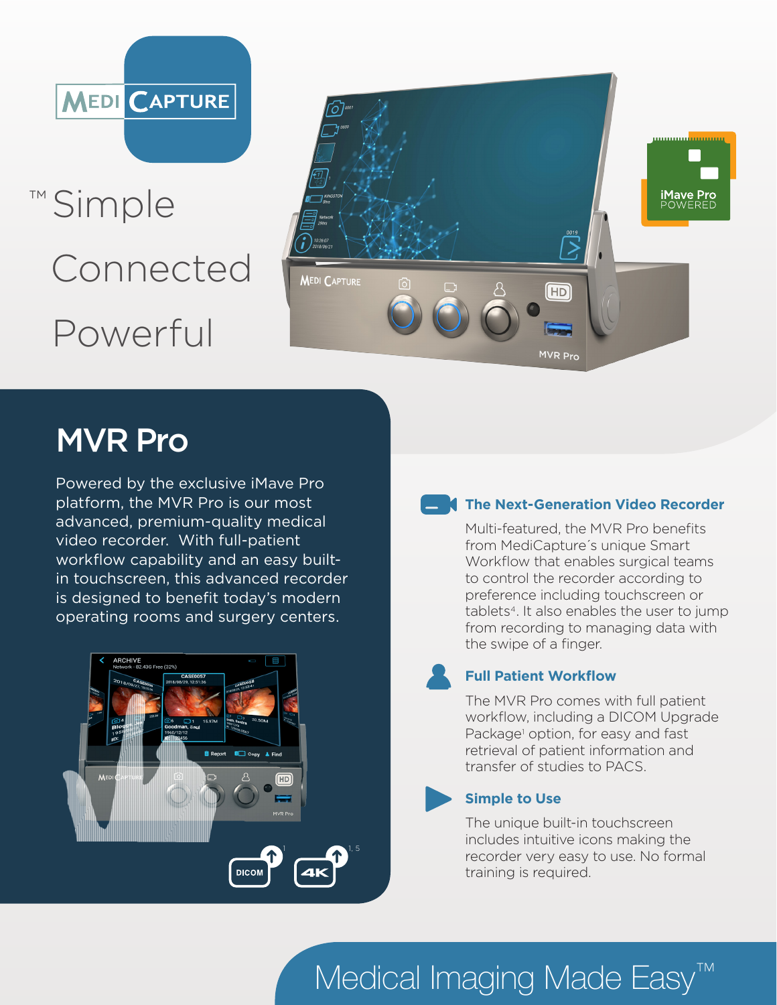

™ Simple Connected Powerful



# MVR Pro

Powered by the exclusive iMave Pro platform, the MVR Pro is our most advanced, premium-quality medical video recorder. With full-patient workflow capability and an easy builtin touchscreen, this advanced recorder is designed to benefit today's modern operating rooms and surgery centers.



## **The Next-Generation Video Recorder**

Multi-featured, the MVR Pro benefits from MediCapture´s unique Smart Workflow that enables surgical teams to control the recorder according to preference including touchscreen or tablets<sup>4</sup>. It also enables the user to jump from recording to managing data with the swipe of a finger.

## **Full Patient Workflow**

The MVR Pro comes with full patient workflow, including a DICOM Upgrade Package<sup>1</sup> option, for easy and fast retrieval of patient information and transfer of studies to PACS.

## **Simple to Use**

The unique built-in touchscreen includes intuitive icons making the recorder very easy to use. No formal training is required.

# Medical Imaging Made Easy<sup>™</sup>